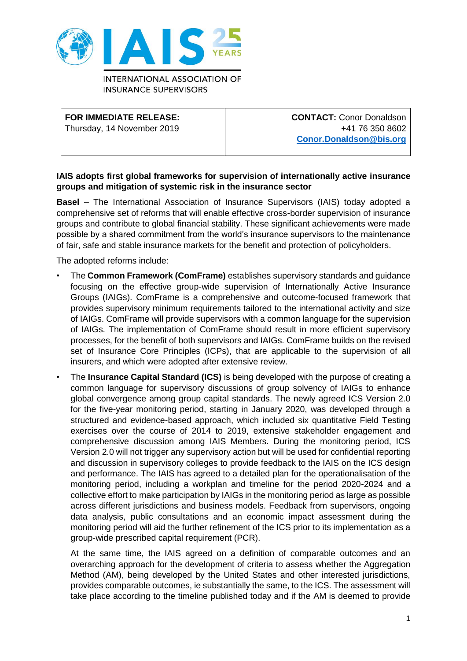

**INTERNATIONAL ASSOCIATION OF INSURANCE SUPERVISORS** 

## **FOR IMMEDIATE RELEASE:**

Thursday, 14 November 2019

**CONTACT:** Conor Donaldson +41 76 350 8602 **[Conor.Donaldson@bis.org](mailto:Conor.Donaldson@bis.org)**

## **IAIS adopts first global frameworks for supervision of internationally active insurance groups and mitigation of systemic risk in the insurance sector**

**Basel** – The International Association of Insurance Supervisors (IAIS) today adopted a comprehensive set of reforms that will enable effective cross-border supervision of insurance groups and contribute to global financial stability. These significant achievements were made possible by a shared commitment from the world's insurance supervisors to the maintenance of fair, safe and stable insurance markets for the benefit and protection of policyholders.

The adopted reforms include:

- The **Common Framework (ComFrame)** establishes supervisory standards and guidance focusing on the effective group-wide supervision of Internationally Active Insurance Groups (IAIGs). ComFrame is a comprehensive and outcome-focused framework that provides supervisory minimum requirements tailored to the international activity and size of IAIGs. ComFrame will provide supervisors with a common language for the supervision of IAIGs. The implementation of ComFrame should result in more efficient supervisory processes, for the benefit of both supervisors and IAIGs. ComFrame builds on the revised set of Insurance Core Principles (ICPs), that are applicable to the supervision of all insurers, and which were adopted after extensive review.
- The **Insurance Capital Standard (ICS)** is being developed with the purpose of creating a common language for supervisory discussions of group solvency of IAIGs to enhance global convergence among group capital standards. The newly agreed ICS Version 2.0 for the five-year monitoring period, starting in January 2020, was developed through a structured and evidence-based approach, which included six quantitative Field Testing exercises over the course of 2014 to 2019, extensive stakeholder engagement and comprehensive discussion among IAIS Members. During the monitoring period, ICS Version 2.0 will not trigger any supervisory action but will be used for confidential reporting and discussion in supervisory colleges to provide feedback to the IAIS on the ICS design and performance. The IAIS has agreed to a detailed plan for the operationalisation of the monitoring period, including a workplan and timeline for the period 2020-2024 and a collective effort to make participation by IAIGs in the monitoring period as large as possible across different jurisdictions and business models. Feedback from supervisors, ongoing data analysis, public consultations and an economic impact assessment during the monitoring period will aid the further refinement of the ICS prior to its implementation as a group-wide prescribed capital requirement (PCR).

At the same time, the IAIS agreed on a definition of comparable outcomes and an overarching approach for the development of criteria to assess whether the Aggregation Method (AM), being developed by the United States and other interested jurisdictions, provides comparable outcomes, ie substantially the same, to the ICS. The assessment will take place according to the timeline published today and if the AM is deemed to provide